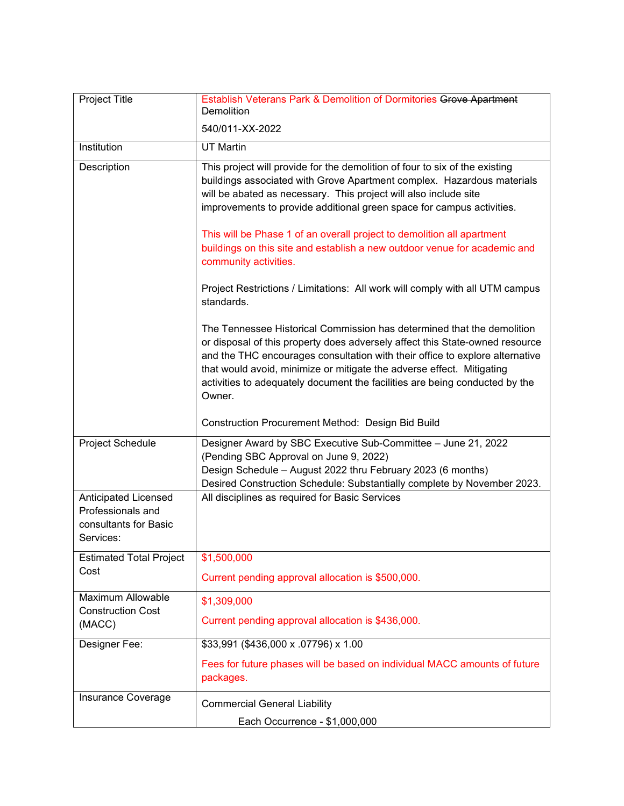| Project Title                                                                          | Establish Veterans Park & Demolition of Dormitories Grove Apartment<br><b>Demolition</b>                                                                                                                                                                                                                                                                                                                                                                                                                                                                                                                                                                                                                                                                                                                                                                                                                                                                                                     |
|----------------------------------------------------------------------------------------|----------------------------------------------------------------------------------------------------------------------------------------------------------------------------------------------------------------------------------------------------------------------------------------------------------------------------------------------------------------------------------------------------------------------------------------------------------------------------------------------------------------------------------------------------------------------------------------------------------------------------------------------------------------------------------------------------------------------------------------------------------------------------------------------------------------------------------------------------------------------------------------------------------------------------------------------------------------------------------------------|
|                                                                                        | 540/011-XX-2022                                                                                                                                                                                                                                                                                                                                                                                                                                                                                                                                                                                                                                                                                                                                                                                                                                                                                                                                                                              |
| Institution                                                                            | <b>UT Martin</b>                                                                                                                                                                                                                                                                                                                                                                                                                                                                                                                                                                                                                                                                                                                                                                                                                                                                                                                                                                             |
| Description                                                                            | This project will provide for the demolition of four to six of the existing<br>buildings associated with Grove Apartment complex. Hazardous materials<br>will be abated as necessary. This project will also include site<br>improvements to provide additional green space for campus activities.<br>This will be Phase 1 of an overall project to demolition all apartment<br>buildings on this site and establish a new outdoor venue for academic and<br>community activities.<br>Project Restrictions / Limitations: All work will comply with all UTM campus<br>standards.<br>The Tennessee Historical Commission has determined that the demolition<br>or disposal of this property does adversely affect this State-owned resource<br>and the THC encourages consultation with their office to explore alternative<br>that would avoid, minimize or mitigate the adverse effect. Mitigating<br>activities to adequately document the facilities are being conducted by the<br>Owner. |
|                                                                                        | Construction Procurement Method: Design Bid Build                                                                                                                                                                                                                                                                                                                                                                                                                                                                                                                                                                                                                                                                                                                                                                                                                                                                                                                                            |
| Project Schedule                                                                       | Designer Award by SBC Executive Sub-Committee - June 21, 2022<br>(Pending SBC Approval on June 9, 2022)<br>Design Schedule - August 2022 thru February 2023 (6 months)<br>Desired Construction Schedule: Substantially complete by November 2023.                                                                                                                                                                                                                                                                                                                                                                                                                                                                                                                                                                                                                                                                                                                                            |
| <b>Anticipated Licensed</b><br>Professionals and<br>consultants for Basic<br>Services: | All disciplines as required for Basic Services                                                                                                                                                                                                                                                                                                                                                                                                                                                                                                                                                                                                                                                                                                                                                                                                                                                                                                                                               |
| <b>Estimated Total Project</b><br>Cost                                                 | \$1,500,000<br>Current pending approval allocation is \$500,000.                                                                                                                                                                                                                                                                                                                                                                                                                                                                                                                                                                                                                                                                                                                                                                                                                                                                                                                             |
| Maximum Allowable<br><b>Construction Cost</b><br>(MACC)                                | \$1,309,000<br>Current pending approval allocation is \$436,000.                                                                                                                                                                                                                                                                                                                                                                                                                                                                                                                                                                                                                                                                                                                                                                                                                                                                                                                             |
| Designer Fee:                                                                          | \$33,991 (\$436,000 x .07796) x 1.00<br>Fees for future phases will be based on individual MACC amounts of future<br>packages.                                                                                                                                                                                                                                                                                                                                                                                                                                                                                                                                                                                                                                                                                                                                                                                                                                                               |
| Insurance Coverage                                                                     | <b>Commercial General Liability</b><br>Each Occurrence - \$1,000,000                                                                                                                                                                                                                                                                                                                                                                                                                                                                                                                                                                                                                                                                                                                                                                                                                                                                                                                         |